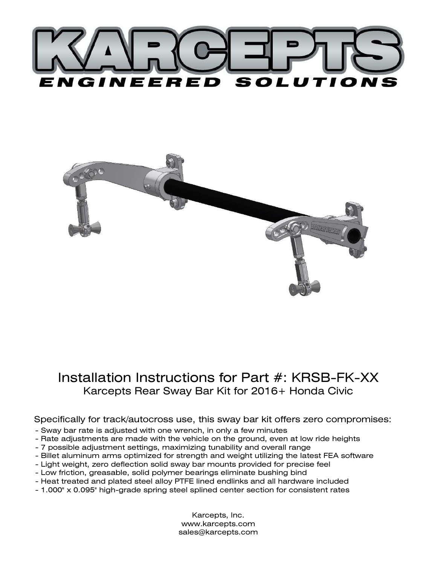



# Installation Instructions for Part #: KRSB-FK-XX Karcepts Rear Sway Bar Kit for 2016+ Honda Civic

#### Specifically for track/autocross use, this sway bar kit offers zero compromises:

- Sway bar rate is adjusted with one wrench, in only a few minutes
- Rate adjustments are made with the vehicle on the ground, even at low ride heights
- 7 possible adjustment settings, maximizing tunability and overall range
- Billet aluminum arms optimized for strength and weight utilizing the latest FEA software
- Light weight, zero deflection solid sway bar mounts provided for precise feel
- Low friction, greasable, solid polymer bearings eliminate bushing bind
- Heat treated and plated steel alloy PTFE lined endlinks and all hardware included
- 1.000" x 0.095" high-grade spring steel splined center section for consistent rates

Karcepts, Inc. www.karcepts.com sales@karcepts.com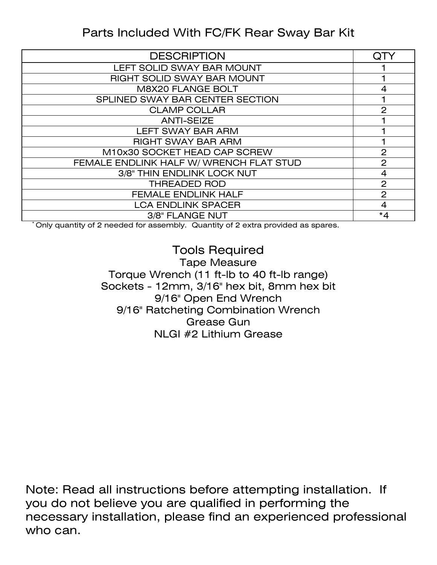# Parts Included With FC/FK Rear Sway Bar Kit

| <b>DESCRIPTION</b>                      |                |
|-----------------------------------------|----------------|
| LEFT SOLID SWAY BAR MOUNT               |                |
| RIGHT SOLID SWAY BAR MOUNT              |                |
| <b>M8X20 FLANGE BOLT</b>                | 4              |
| SPLINED SWAY BAR CENTER SECTION         |                |
| <b>CLAMP COLLAR</b>                     | $\mathbf{2}$   |
| <b>ANTI-SEIZE</b>                       |                |
| <b>LEFT SWAY BAR ARM</b>                |                |
| <b>RIGHT SWAY BAR ARM</b>               |                |
| M10x30 SOCKET HEAD CAP SCREW            | $\overline{2}$ |
| FEMALE ENDLINK HALF W/ WRENCH FLAT STUD | $\overline{2}$ |
| 3/8" THIN ENDLINK LOCK NUT              | 4              |
| <b>THREADED ROD</b>                     | $\overline{2}$ |
| <b>FEMALE ENDLINK HALF</b>              | 2              |
| <b>LCA ENDLINK SPACER</b>               | 4              |
| 3/8" FLANGE NUT                         | $*_{4}$        |

\* Only quantity of 2 needed for assembly. Quantity of 2 extra provided as spares.

### Tools Required Tape Measure Torque Wrench (11 ft-lb to 40 ft-lb range) Sockets - 12mm, 3/16" hex bit, 8mm hex bit 9/16" Open End Wrench 9/16" Ratcheting Combination Wrench Grease Gun NLGI #2 Lithium Grease

Note: Read all instructions before attempting installation. If you do not believe you are qualified in performing the necessary installation, please find an experienced professional who can.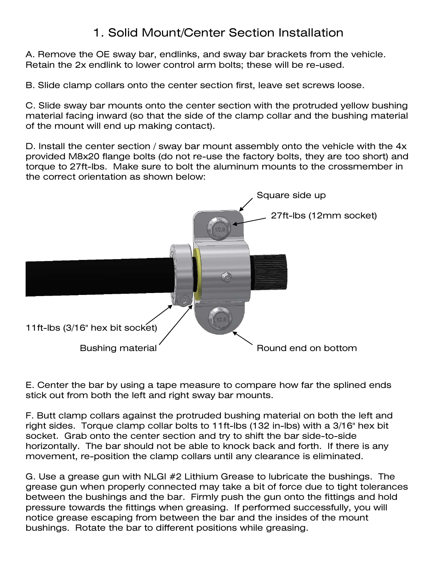# 1. Solid Mount/Center Section Installation

A. Remove the OE sway bar, endlinks, and sway bar brackets from the vehicle. Retain the 2x endlink to lower control arm bolts; these will be re-used.

B. Slide clamp collars onto the center section first, leave set screws loose.

C. Slide sway bar mounts onto the center section with the protruded yellow bushing material facing inward (so that the side of the clamp collar and the bushing material of the mount will end up making contact).

D. Install the center section / sway bar mount assembly onto the vehicle with the 4x provided M8x20 flange bolts (do not re-use the factory bolts, they are too short) and torque to 27ft-lbs. Make sure to bolt the aluminum mounts to the crossmember in the correct orientation as shown below:



E. Center the bar by using a tape measure to compare how far the splined ends stick out from both the left and right sway bar mounts.

F. Butt clamp collars against the protruded bushing material on both the left and right sides. Torque clamp collar bolts to 11ft-lbs (132 in-lbs) with a 3/16" hex bit socket. Grab onto the center section and try to shift the bar side-to-side horizontally. The bar should not be able to knock back and forth. If there is any movement, re-position the clamp collars until any clearance is eliminated.

G. Use a grease gun with NLGI #2 Lithium Grease to lubricate the bushings. The grease gun when properly connected may take a bit of force due to tight tolerances between the bushings and the bar. Firmly push the gun onto the fittings and hold pressure towards the fittings when greasing. If performed successfully, you will notice grease escaping from between the bar and the insides of the mount bushings. Rotate the bar to different positions while greasing.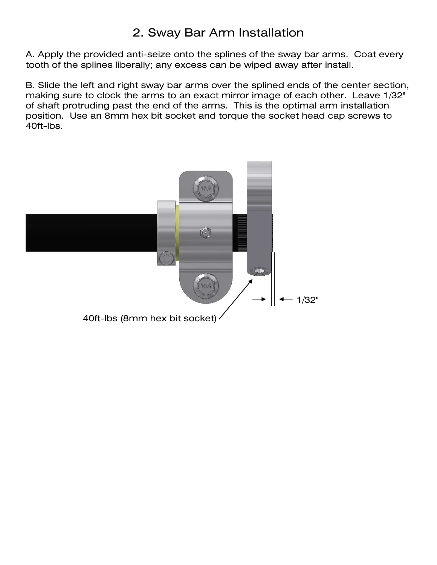# 2. Sway Bar Arm Installation

A. Apply the provided anti-seize onto the splines of the sway bar arms. Coat every tooth of the splines liberally; any excess can be wiped away after install.

B. Slide the left and right sway bar arms over the splined ends of the center section, making sure to clock the arms to an exact mirror image of each other. Leave 1/32" of shaft protruding past the end of the arms. This is the optimal arm installation position. Use an 8mm hex bit socket and torque the socket head cap screws to 40ft-lbs.

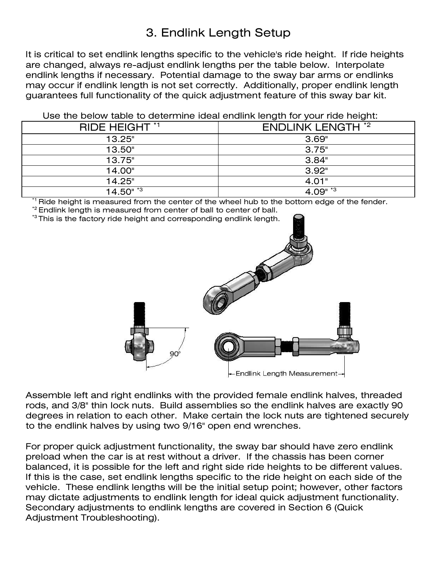# 3. Endlink Length Setup

It is critical to set endlink lengths specific to the vehicle's ride height. If ride heights are changed, always re-adjust endlink lengths per the table below. Interpolate endlink lengths if necessary. Potential damage to the sway bar arms or endlinks may occur if endlink length is not set correctly. Additionally, proper endlink length guarantees full functionality of the quick adjustment feature of this sway bar kit.

Use the below table to determine ideal endlink length for your ride height:

| RIDE HEIGHT *1          | <b>ENDLINK LENGTH *2</b> |
|-------------------------|--------------------------|
| 13.25"                  | 3.69"                    |
| 13.50"                  | 3.75"                    |
| 13.75"                  | 3.84"                    |
| 14.00"                  | 3.92"                    |
| 14.25"                  | 4.01"                    |
| $14.50"$ $\overline{3}$ | $4.09"$ $*3$             |

Ride height is measured from the center of the wheel hub to the bottom edge of the fender.

\*2 Endlink length is measured from center of ball to center of ball.





Assemble left and right endlinks with the provided female endlink halves, threaded rods, and 3/8" thin lock nuts. Build assemblies so the endlink halves are exactly 90 degrees in relation to each other. Make certain the lock nuts are tightened securely to the endlink halves by using two 9/16" open end wrenches.

For proper quick adjustment functionality, the sway bar should have zero endlink preload when the car is at rest without a driver. If the chassis has been corner balanced, it is possible for the left and right side ride heights to be different values. If this is the case, set endlink lengths specific to the ride height on each side of the vehicle. These endlink lengths will be the initial setup point; however, other factors may dictate adjustments to endlink length for ideal quick adjustment functionality. Secondary adjustments to endlink lengths are covered in Section 6 (Quick Adjustment Troubleshooting).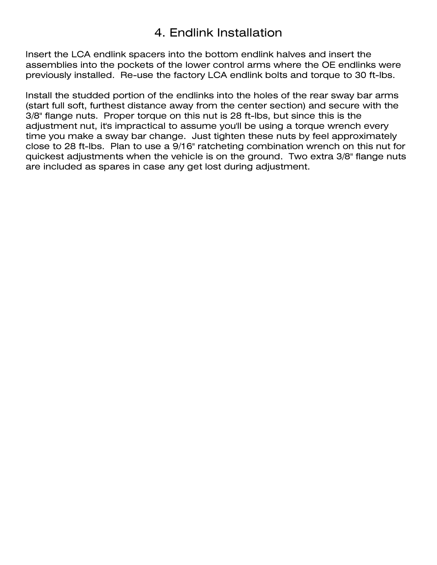# 4. Endlink Installation

Insert the LCA endlink spacers into the bottom endlink halves and insert the assemblies into the pockets of the lower control arms where the OE endlinks were previously installed. Re-use the factory LCA endlink bolts and torque to 30 ft-lbs.

Install the studded portion of the endlinks into the holes of the rear sway bar arms (start full soft, furthest distance away from the center section) and secure with the 3/8" flange nuts. Proper torque on this nut is 28 ft-lbs, but since this is the adjustment nut, it's impractical to assume you'll be using a torque wrench every time you make a sway bar change. Just tighten these nuts by feel approximately close to 28 ft-lbs. Plan to use a 9/16" ratcheting combination wrench on this nut for quickest adjustments when the vehicle is on the ground. Two extra 3/8" flange nuts are included as spares in case any get lost during adjustment.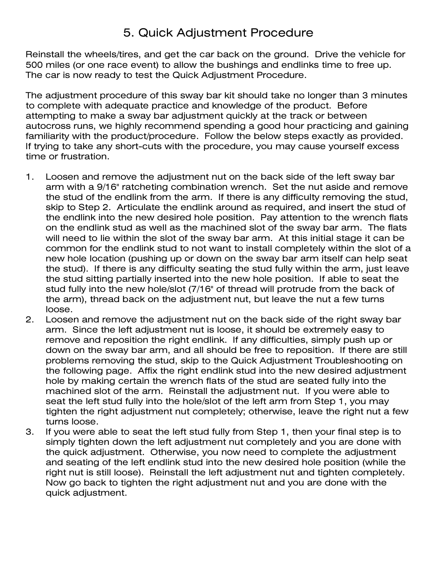# 5. Quick Adjustment Procedure

Reinstall the wheels/tires, and get the car back on the ground. Drive the vehicle for 500 miles (or one race event) to allow the bushings and endlinks time to free up. The car is now ready to test the Quick Adjustment Procedure.

The adjustment procedure of this sway bar kit should take no longer than 3 minutes to complete with adequate practice and knowledge of the product. Before attempting to make a sway bar adjustment quickly at the track or between autocross runs, we highly recommend spending a good hour practicing and gaining familiarity with the product/procedure. Follow the below steps exactly as provided. If trying to take any short-cuts with the procedure, you may cause yourself excess time or frustration.

- 1. Loosen and remove the adjustment nut on the back side of the left sway bar arm with a 9/16" ratcheting combination wrench. Set the nut aside and remove the stud of the endlink from the arm. If there is any difficulty removing the stud, skip to Step 2. Articulate the endlink around as required, and insert the stud of the endlink into the new desired hole position. Pay attention to the wrench flats on the endlink stud as well as the machined slot of the sway bar arm. The flats will need to lie within the slot of the sway bar arm. At this initial stage it can be common for the endlink stud to not want to install completely within the slot of a new hole location (pushing up or down on the sway bar arm itself can help seat the stud). If there is any difficulty seating the stud fully within the arm, just leave the stud sitting partially inserted into the new hole position. If able to seat the stud fully into the new hole/slot (7/16" of thread will protrude from the back of the arm), thread back on the adjustment nut, but leave the nut a few turns loose.
- 2. Loosen and remove the adjustment nut on the back side of the right sway bar arm. Since the left adjustment nut is loose, it should be extremely easy to remove and reposition the right endlink. If any difficulties, simply push up or down on the sway bar arm, and all should be free to reposition. If there are still problems removing the stud, skip to the Quick Adjustment Troubleshooting on the following page. Affix the right endlink stud into the new desired adjustment hole by making certain the wrench flats of the stud are seated fully into the machined slot of the arm. Reinstall the adjustment nut. If you were able to seat the left stud fully into the hole/slot of the left arm from Step 1, you may tighten the right adjustment nut completely; otherwise, leave the right nut a few turns loose.
- 3. If you were able to seat the left stud fully from Step 1, then your final step is to simply tighten down the left adjustment nut completely and you are done with the quick adjustment. Otherwise, you now need to complete the adjustment and seating of the left endlink stud into the new desired hole position (while the right nut is still loose). Reinstall the left adjustment nut and tighten completely. Now go back to tighten the right adjustment nut and you are done with the quick adjustment.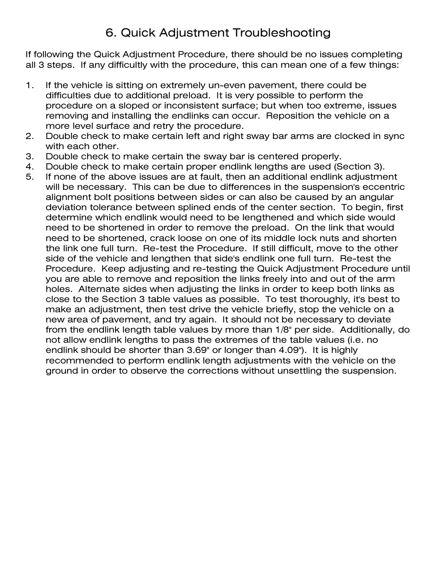# 6. Quick Adjustment Troubleshooting

If following the Quick Adjustment Procedure, there should be no issues completing all 3 steps. If any difficultly with the procedure, this can mean one of a few things:

- 1. If the vehicle is sitting on extremely un-even pavement, there could be difficulties due to additional preload. It is very possible to perform the procedure on a sloped or inconsistent surface; but when too extreme, issues removing and installing the endlinks can occur. Reposition the vehicle on a more level surface and retry the procedure.
- 2. Double check to make certain left and right sway bar arms are clocked in sync with each other.
- 3. Double check to make certain the sway bar is centered properly.
- 4. Double check to make certain proper endlink lengths are used (Section 3).
- 5. If none of the above issues are at fault, then an additional endlink adjustment will be necessary. This can be due to differences in the suspension's eccentric alignment bolt positions between sides or can also be caused by an angular deviation tolerance between splined ends of the center section. To begin, first determine which endlink would need to be lengthened and which side would need to be shortened in order to remove the preload. On the link that would need to be shortened, crack loose on one of its middle lock nuts and shorten the link one full turn. Re-test the Procedure. If still difficult, move to the other side of the vehicle and lengthen that side's endlink one full turn. Re-test the Procedure. Keep adjusting and re-testing the Quick Adjustment Procedure until you are able to remove and reposition the links freely into and out of the arm holes. Alternate sides when adjusting the links in order to keep both links as close to the Section 3 table values as possible. To test thoroughly, it's best to make an adjustment, then test drive the vehicle briefly, stop the vehicle on a new area of pavement, and try again. It should not be necessary to deviate from the endlink length table values by more than 1/8" per side. Additionally, do not allow endlink lengths to pass the extremes of the table values (i.e. no endlink should be shorter than 3.69" or longer than 4.09"). It is highly recommended to perform endlink length adjustments with the vehicle on the ground in order to observe the corrections without unsettling the suspension.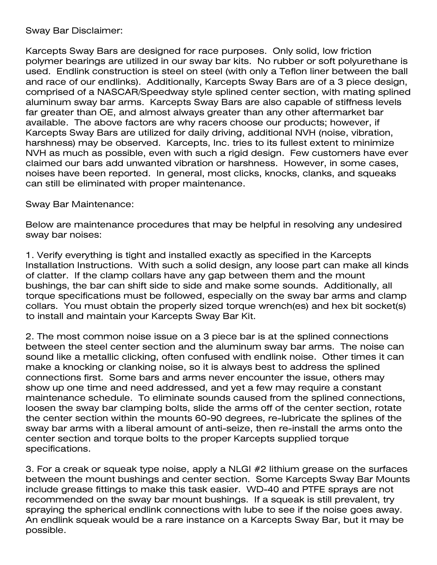Sway Bar Disclaimer:

Karcepts Sway Bars are designed for race purposes. Only solid, low friction polymer bearings are utilized in our sway bar kits. No rubber or soft polyurethane is used. Endlink construction is steel on steel (with only a Teflon liner between the ball and race of our endlinks). Additionally, Karcepts Sway Bars are of a 3 piece design, comprised of a NASCAR/Speedway style splined center section, with mating splined aluminum sway bar arms. Karcepts Sway Bars are also capable of stiffness levels far greater than OE, and almost always greater than any other aftermarket bar available. The above factors are why racers choose our products; however, if Karcepts Sway Bars are utilized for daily driving, additional NVH (noise, vibration, harshness) may be observed. Karcepts, Inc. tries to its fullest extent to minimize NVH as much as possible, even with such a rigid design. Few customers have ever claimed our bars add unwanted vibration or harshness. However, in some cases, noises have been reported. In general, most clicks, knocks, clanks, and squeaks can still be eliminated with proper maintenance.

Sway Bar Maintenance:

Below are maintenance procedures that may be helpful in resolving any undesired sway bar noises:

1. Verify everything is tight and installed exactly as specified in the Karcepts Installation Instructions. With such a solid design, any loose part can make all kinds of clatter. If the clamp collars have any gap between them and the mount bushings, the bar can shift side to side and make some sounds. Additionally, all torque specifications must be followed, especially on the sway bar arms and clamp collars. You must obtain the properly sized torque wrench(es) and hex bit socket(s) to install and maintain your Karcepts Sway Bar Kit.

2. The most common noise issue on a 3 piece bar is at the splined connections between the steel center section and the aluminum sway bar arms. The noise can sound like a metallic clicking, often confused with endlink noise. Other times it can make a knocking or clanking noise, so it is always best to address the splined connections first. Some bars and arms never encounter the issue, others may show up one time and need addressed, and yet a few may require a constant maintenance schedule. To eliminate sounds caused from the splined connections, loosen the sway bar clamping bolts, slide the arms off of the center section, rotate the center section within the mounts 60-90 degrees, re-lubricate the splines of the sway bar arms with a liberal amount of anti-seize, then re-install the arms onto the center section and torque bolts to the proper Karcepts supplied torque specifications.

3. For a creak or squeak type noise, apply a NLGI #2 lithium grease on the surfaces between the mount bushings and center section. Some Karcepts Sway Bar Mounts include grease fittings to make this task easier. WD-40 and PTFE sprays are not recommended on the sway bar mount bushings. If a squeak is still prevalent, try spraying the spherical endlink connections with lube to see if the noise goes away. An endlink squeak would be a rare instance on a Karcepts Sway Bar, but it may be possible.